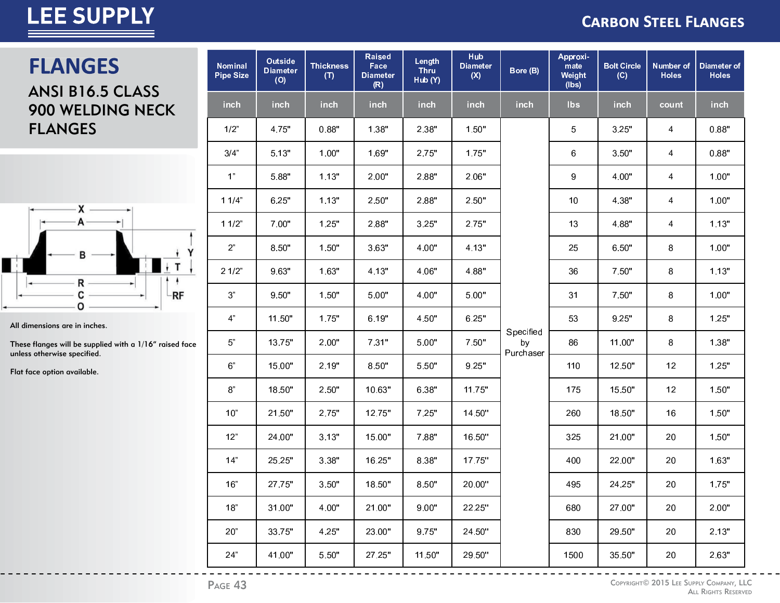#### **CARBON STEEL FLANGES**

### **FLANGES**

ANSI B16.5 CLASS 900 WELDING NECK **FLANGES** 



All dimensions are in inches.

These flanges will be supplied with a 1/16" raised face unless otherwise specified.

Flat face option available.

| <b>Nominal</b><br><b>Pipe Size</b> | Outside<br><b>Diameter</b><br>(O) | <b>Thickness</b><br>(T) | <b>Raised</b><br>Face<br><b>Diameter</b><br>(R) | Length<br><b>Thru</b><br>Hub (Y) | Hub<br><b>Diameter</b><br>(X) | Bore (B)                     | Approxi-<br>mate<br>Weight<br>(lbs) | <b>Bolt Circle</b><br>(C) | Number of<br><b>Holes</b> | Diameter of<br><b>Holes</b> |
|------------------------------------|-----------------------------------|-------------------------|-------------------------------------------------|----------------------------------|-------------------------------|------------------------------|-------------------------------------|---------------------------|---------------------------|-----------------------------|
| inch                               | inch                              | inch                    | inch                                            | inch                             | inch                          | inch                         | Ibs                                 | inch                      | count                     | inch                        |
| 1/2"                               | 4.75"                             | 0.88"                   | 1.38"                                           | 2.38"                            | 1.50"                         |                              | $\sqrt{5}$                          | 3.25"                     | 4                         | 0.88"                       |
| 3/4"                               | 5.13"                             | 1.00"                   | 1.69"                                           | 2.75"                            | 1.75"                         |                              | 6                                   | 3.50"                     | 4                         | 0.88"                       |
| 1 <sup>n</sup>                     | 5.88"                             | 1.13"                   | 2.00"                                           | 2.88"                            | 2.06"                         |                              | 9                                   | 4.00"                     | 4                         | 1.00"                       |
| 11/4"                              | 6.25"                             | 1.13"                   | 2.50"                                           | 2.88"                            | 2.50"                         |                              | 10                                  | 4.38"                     | 4                         | 1.00"                       |
| 11/2"                              | 7.00"                             | 1.25"                   | 2.88"                                           | 3.25"                            | 2.75"                         |                              | 13                                  | 4.88"                     | 4                         | 1.13"                       |
| 2 <sup>n</sup>                     | 8.50"                             | 1.50"                   | 3.63"                                           | 4.00"                            | 4.13"                         |                              | 25                                  | 6.50"                     | 8                         | 1.00"                       |
| 21/2"                              | 9.63"                             | 1.63"                   | 4.13"                                           | 4.06"                            | 4.88"                         |                              | 36                                  | 7.50"                     | $\bf 8$                   | 1.13"                       |
| $3"$                               | 9.50"                             | 1.50"                   | 5.00"                                           | 4.00"                            | 5.00"                         |                              | 31                                  | 7.50"                     | 8                         | 1.00"                       |
| 4 <sup>n</sup>                     | 11.50"                            | 1.75"                   | 6.19"                                           | 4.50"                            | 6.25"                         |                              | 53                                  | 9.25"                     | 8                         | 1.25"                       |
| $5"$                               | 13.75"                            | 2.00"                   | 7.31"                                           | 5.00"                            | 7.50"                         | Specified<br>by<br>Purchaser | 86                                  | 11.00"                    | 8                         | 1.38"                       |
| $6"$                               | 15.00"                            | 2.19"                   | 8.50"                                           | 5.50"                            | 9.25"                         |                              | 110                                 | 12.50"                    | 12                        | 1.25"                       |
| $8^{\circ}$                        | 18.50"                            | 2.50"                   | 10.63"                                          | 6.38"                            | 11.75"                        |                              | 175                                 | 15.50"                    | 12                        | 1.50"                       |
| 10"                                | 21.50"                            | 2.75"                   | 12.75"                                          | 7.25"                            | 14.50"                        |                              | 260                                 | 18.50"                    | 16                        | 1.50"                       |
| 12"                                | 24.00"                            | 3.13"                   | 15.00"                                          | 7.88"                            | 16.50"                        |                              | 325                                 | 21.00"                    | 20                        | 1.50"                       |
| 14"                                | 25.25"                            | 3.38"                   | 16.25"                                          | 8.38"                            | 17.75"                        |                              | 400                                 | 22.00"                    | 20                        | 1.63"                       |
| 16"                                | 27.75"                            | 3.50"                   | 18.50"                                          | 8.50"                            | 20.00"                        |                              | 495                                 | 24.25"                    | 20                        | 1.75"                       |
| 18"                                | 31.00"                            | 4.00"                   | 21.00"                                          | 9.00"                            | 22.25"                        |                              | 680                                 | 27.00"                    | 20                        | 2.00"                       |
| 20"                                | 33.75"                            | 4.25"                   | 23.00"                                          | 9.75"                            | 24.50"                        |                              | 830                                 | 29.50"                    | 20                        | 2.13"                       |
| 24"                                | 41.00"                            | 5.50"                   | 27.25"                                          | 11.50"                           | 29.50"                        |                              | 1500                                | 35.50"                    | 20                        | 2.63"                       |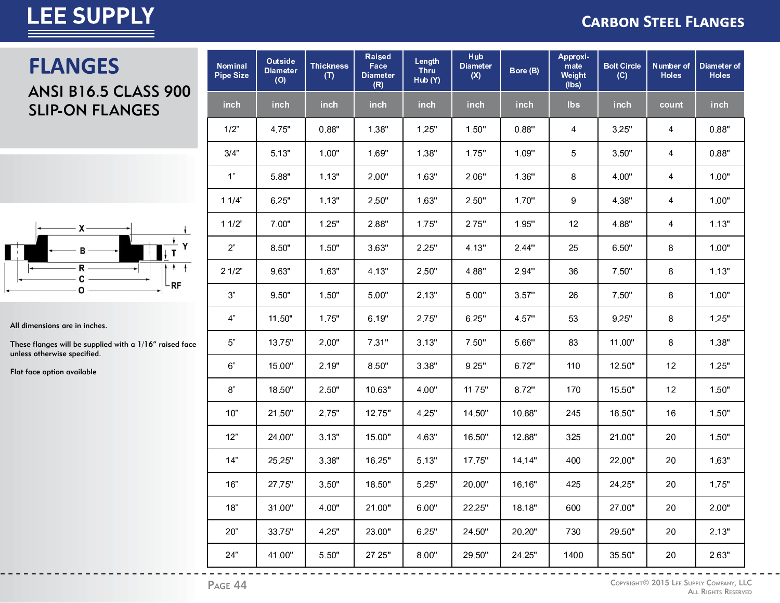#### **CARBON STEEL FLANGES**

### **FLANGES**

### **ANSI B16.5 CLASS 900 SLIP-ON FLANGES**



All dimensions are in inches.

These flanges will be supplied with a 1/16" raised face unless otherwise specified.

Flat face option available

| <b>Nominal</b><br><b>Pipe Size</b> | Outside<br><b>Diameter</b><br>(O) | <b>Thickness</b><br>(T) | <b>Raised</b><br>Face<br><b>Diameter</b><br>(R) | Length<br><b>Thru</b><br>Hub (Y) | <b>Hub</b><br><b>Diameter</b><br>(X) | Bore (B) | Approxi-<br>mate<br>Weight<br>(lbs) | <b>Bolt Circle</b><br>(C) | <b>Number of</b><br><b>Holes</b> | Diameter of<br><b>Holes</b> |
|------------------------------------|-----------------------------------|-------------------------|-------------------------------------------------|----------------------------------|--------------------------------------|----------|-------------------------------------|---------------------------|----------------------------------|-----------------------------|
| inch                               | inch                              | inch                    | inch                                            | inch                             | inch                                 | inch     | <b>lbs</b>                          | inch                      | count                            | inch                        |
| $1/2$ "                            | 4.75"                             | 0.88"                   | 1.38"                                           | 1.25"                            | 1.50"                                | 0.88"    | 4                                   | 3.25"                     | 4                                | 0.88"                       |
| 3/4"                               | 5.13"                             | 1.00"                   | 1.69"                                           | 1.38"                            | 1.75"                                | 1.09"    | 5                                   | 3.50"                     | 4                                | 0.88"                       |
| 1 <sup>n</sup>                     | 5.88"                             | 1.13"                   | 2.00"                                           | 1.63"                            | 2.06"                                | 1.36"    | 8                                   | 4.00"                     | 4                                | 1.00"                       |
| 11/4"                              | 6.25"                             | 1.13"                   | 2.50"                                           | 1.63"                            | 2.50"                                | 1.70"    | $\boldsymbol{9}$                    | 4.38"                     | 4                                | 1.00"                       |
| 11/2"                              | 7.00"                             | 1.25"                   | 2.88"                                           | 1.75"                            | 2.75"                                | 1.95"    | 12                                  | 4.88"                     | 4                                | 1.13"                       |
| 2 <sup>n</sup>                     | 8.50"                             | 1.50"                   | 3.63"                                           | 2.25"                            | 4.13"                                | 2.44"    | 25                                  | 6.50"                     | 8                                | 1.00"                       |
| 21/2"                              | 9.63"                             | 1.63"                   | 4.13"                                           | 2.50"                            | 4.88"                                | 2.94"    | 36                                  | 7.50"                     | 8                                | 1.13"                       |
| 3 <sup>n</sup>                     | 9.50"                             | 1.50"                   | 5.00"                                           | 2.13"                            | 5.00"                                | 3.57"    | 26                                  | 7.50"                     | 8                                | 1.00"                       |
| 4 <sup>n</sup>                     | 11.50"                            | 1.75"                   | 6.19"                                           | 2.75"                            | 6.25"                                | 4.57"    | 53                                  | 9.25"                     | 8                                | 1.25"                       |
| $5"$                               | 13.75"                            | 2.00"                   | 7.31"                                           | 3.13"                            | 7.50"                                | 5.66"    | 83                                  | 11.00"                    | 8                                | 1.38"                       |
| $6"$                               | 15.00"                            | 2.19"                   | 8.50"                                           | 3.38"                            | 9.25"                                | 6.72"    | 110                                 | 12.50"                    | 12                               | 1.25"                       |
| $8^{\circ}$                        | 18.50"                            | 2.50"                   | 10.63"                                          | 4.00"                            | 11.75"                               | 8.72"    | 170                                 | 15.50"                    | 12                               | 1.50"                       |
| 10"                                | 21.50"                            | 2.75"                   | 12.75"                                          | 4.25"                            | 14.50"                               | 10.88"   | 245                                 | 18.50"                    | 16                               | 1.50"                       |
| 12"                                | 24.00"                            | 3.13"                   | 15.00"                                          | 4.63"                            | 16.50"                               | 12.88"   | 325                                 | 21.00"                    | 20                               | 1.50"                       |
| 14"                                | 25.25"                            | 3.38"                   | 16.25"                                          | 5.13"                            | 17.75"                               | 14.14"   | 400                                 | 22.00"                    | 20                               | 1.63"                       |
| 16"                                | 27.75"                            | 3.50"                   | 18.50"                                          | 5.25"                            | 20.00"                               | 16.16"   | 425                                 | 24.25"                    | 20                               | 1.75"                       |
| 18"                                | 31.00"                            | 4.00"                   | 21.00"                                          | 6.00"                            | 22.25"                               | 18.18"   | 600                                 | 27.00"                    | 20                               | 2.00"                       |
| 20"                                | 33.75"                            | 4.25"                   | 23.00"                                          | 6.25"                            | 24.50"                               | 20.20"   | 730                                 | 29.50"                    | 20                               | 2.13"                       |
| 24"                                | 41.00"                            | 5.50"                   | 27.25"                                          | 8.00"                            | 29.50"                               | 24.25"   | 1400                                | 35.50"                    | 20                               | 2.63"                       |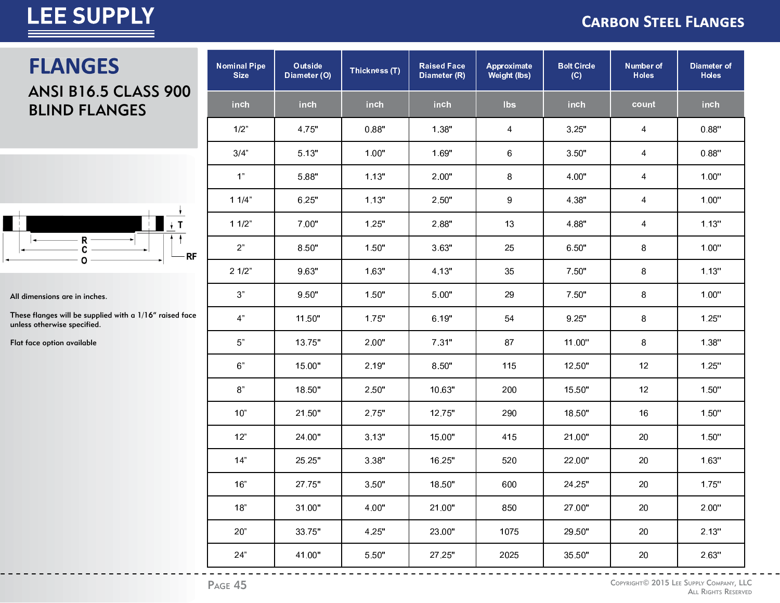### **CARBON STEEL FLANGES**

### **FLANGES**

### ANSI B16.5 CLASS 900 BLIND FLANGES



All dimensions are in inches.

These flanges will be supplied with a 1/16" raised face unless otherwise specified.

Flat face option available

| <b>Nominal Pipe</b><br><b>Size</b> | Outside<br>Diameter (O) | Thickness (T) | <b>Raised Face</b><br>Diameter (R) | <b>Bolt Circle</b><br>Approximate<br>(C)<br>Weight (lbs) |        | <b>Number of</b><br><b>Holes</b> | Diameter of<br><b>Holes</b> |
|------------------------------------|-------------------------|---------------|------------------------------------|----------------------------------------------------------|--------|----------------------------------|-----------------------------|
| inch                               | inch                    | inch          | inch                               | <b>lbs</b>                                               | inch   | count                            | inch                        |
| 1/2"                               | 4.75"                   | 0.88"         | 1.38"                              | 4                                                        | 3.25"  | 4                                | 0.88"                       |
| 3/4"                               | 5.13"                   | 1.00"         | 1.69"                              | 6                                                        | 3.50"  | 4                                | 0.88"                       |
| 1"                                 | 5.88"                   | 1.13"         | 2.00"                              | 8                                                        | 4.00"  | 4                                | 1.00"                       |
| 11/4"                              | 6.25"                   | 1.13"         | 2.50"                              | 9                                                        | 4.38"  | 4                                | 1.00"                       |
| 11/2"                              | 7.00"                   | 1.25"         | 2.88"                              | 13                                                       | 4.88"  | 4                                | 1.13"                       |
| 2 <sup>n</sup>                     | 8.50"                   | 1.50"         | 3.63"                              | 25                                                       | 6.50"  | 8                                | 1.00"                       |
| 21/2"                              | 9.63"                   | 1.63"         | 4.13"                              | 35                                                       | 7.50"  | 8                                | 1.13"                       |
| $3"$                               | 9.50"                   | 1.50"         | 5.00"                              | 29                                                       | 7.50"  | 8                                | 1.00"                       |
| 4 <sup>n</sup>                     | 11.50"                  | 1.75"         | 6.19"                              | 54                                                       | 9.25"  | 8                                | 1.25"                       |
| $5"$                               | 13.75"                  | 2.00"         | 7.31"                              | 87                                                       | 11.00" | 8                                | 1.38"                       |
| 6 <sup>n</sup>                     | 15.00"                  | 2.19"         | 8.50"                              | 115                                                      | 12.50" | 12                               | 1.25"                       |
| 8"                                 | 18.50"                  | 2.50"         | 10.63"                             | 200                                                      | 15.50" | 12                               | 1.50"                       |
| 10"                                | 21.50"                  | 2.75"         | 12.75"                             | 290                                                      | 18.50" | 16                               | 1.50"                       |
| 12"                                | 24.00"                  | 3.13"         | 15.00"                             | 415                                                      | 21.00" | 20                               | 1.50"                       |
| 14"                                | 25.25"                  | 3.38"         | 16.25"                             | 520                                                      | 22.00" | 20                               | 1.63"                       |
| 16"                                | 27.75"                  | 3.50"         | 18.50"                             | 600                                                      | 24.25" | 20                               | 1.75"                       |
| 18"                                | 31.00"                  | 4.00"         | 21.00"                             | 850                                                      | 27.00" | 20                               | 2.00"                       |
| 20"                                | 33.75"                  | 4.25"         | 23.00"                             | 1075                                                     | 29.50" | 20                               | 2.13"                       |
| 24"                                | 41.00"                  | 5.50"         | 27.25"                             | 2025                                                     | 35.50" | 20                               | 2.63"                       |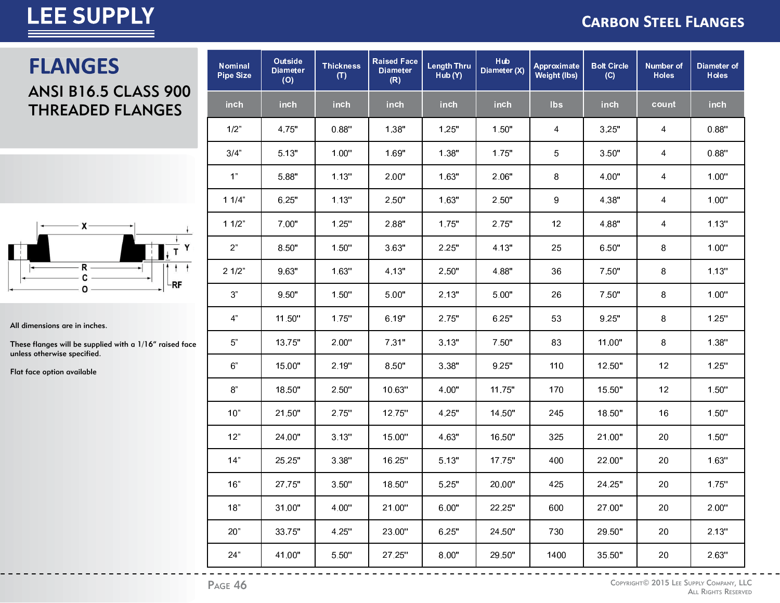#### **CARBON STEEL FLANGES**

# **FLANGES**

#### **ANSI B16.5 CLASS 900 THREADED FLANGES**



All dimensions are in inches.

These flanges will be supplied with a 1/16" raised face unless otherwise specified.

Flat face option available

| <b>Nominal</b><br><b>Pipe Size</b> | <b>Outside</b><br><b>Diameter</b><br>(O) | <b>Thickness</b><br>(T) | <b>Raised Face</b><br><b>Diameter</b><br>(R) | Length Thru<br>Hub (Y) | <b>Hub</b><br>Diameter (X) | Approximate<br>Weight (lbs) | <b>Bolt Circle</b><br>(C) | <b>Number of</b><br><b>Holes</b> | <b>Diameter of</b><br><b>Holes</b> |
|------------------------------------|------------------------------------------|-------------------------|----------------------------------------------|------------------------|----------------------------|-----------------------------|---------------------------|----------------------------------|------------------------------------|
| inch                               | inch                                     | inch                    | inch                                         | inch                   | inch                       | lbs                         | inch                      | count                            | inch                               |
| 1/2"                               | 4.75"                                    | 0.88"                   | 1.38"                                        | 1.25"                  | 1.50"                      | 4                           | 3.25"                     | 4                                | 0.88"                              |
| 3/4"                               | 5.13"                                    | 1.00"                   | 1.69"                                        | 1.38"                  | 1.75"                      | 5                           | 3.50"                     | 4                                | 0.88"                              |
| 1 <sup>n</sup>                     | 5.88"                                    | 1.13"                   | 2.00"                                        | 1.63"                  | 2.06"                      | 8                           | 4.00"                     | 4                                | $1.00"$                            |
| 11/4"                              | 6.25"                                    | 1.13"                   | 2.50"                                        | 1.63"                  | 2.50"                      | 9                           | 4.38"                     | 4                                | 1.00"                              |
| 11/2"                              | 7.00"                                    | 1.25"                   | 2.88"                                        | 1.75"                  | 2.75"                      | 12                          | 4.88"                     | 4                                | 1.13"                              |
| 2 <sup>n</sup>                     | 8.50"                                    | 1.50"                   | 3.63"                                        | 2.25"                  | 4.13"                      | 25                          | 6.50"                     | 8                                | 1.00"                              |
| 21/2"                              | 9.63"                                    | 1.63"                   | 4.13"                                        | 2.50"                  | 4.88"                      | 36                          | 7.50"                     | 8                                | 1.13"                              |
| $3"$                               | 9.50"                                    | 1.50"                   | 5.00"                                        | 2.13"                  | 5.00"                      | 26                          | 7.50"                     | 8                                | 1.00"                              |
| 4"                                 | 11.50"                                   | 1.75"                   | 6.19"                                        | 2.75"                  | 6.25"                      | 53                          | 9.25"                     | 8                                | 1.25"                              |
| 5"                                 | 13.75"                                   | 2.00"                   | 7.31"                                        | 3.13"                  | 7.50"                      | 83                          | 11.00"                    | 8                                | 1.38"                              |
| 6"                                 | 15.00"                                   | 2.19"                   | 8.50"                                        | 3.38"                  | 9.25"                      | 110                         | 12.50"                    | 12                               | 1.25"                              |
| $8"$                               | 18.50"                                   | 2.50"                   | 10.63"                                       | 4.00"                  | 11.75"                     | 170                         | 15.50"                    | 12                               | 1.50"                              |
| 10"                                | 21.50"                                   | 2.75"                   | 12.75"                                       | 4.25"                  | 14.50"                     | 245                         | 18.50"                    | 16                               | 1.50"                              |
| 12"                                | 24.00"                                   | 3.13"                   | 15.00"                                       | 4.63"                  | 16.50"                     | 325                         | 21.00"                    | 20                               | 1.50"                              |
| 14"                                | 25.25"                                   | 3.38"                   | 16.25"                                       | 5.13"                  | 17.75"                     | 400                         | 22.00"                    | 20                               | 1.63"                              |
| 16"                                | 27.75"                                   | 3.50"                   | 18.50"                                       | 5.25"                  | 20.00"                     | 425                         | 24.25"                    | 20                               | 1.75"                              |
| 18"                                | 31.00"                                   | 4.00"                   | 21.00"                                       | 6.00"                  | 22.25"                     | 600                         | 27.00"                    | 20                               | 2.00"                              |
| 20"                                | 33.75"                                   | 4.25"                   | 23.00"                                       | 6.25"                  | 24.50"                     | 730                         | 29.50"                    | 20                               | 2.13"                              |
| 24"                                | 41.00"                                   | 5.50"                   | 27.25"                                       | 8.00"                  | 29.50"                     | 1400                        | 35.50"                    | 20                               | 2.63"                              |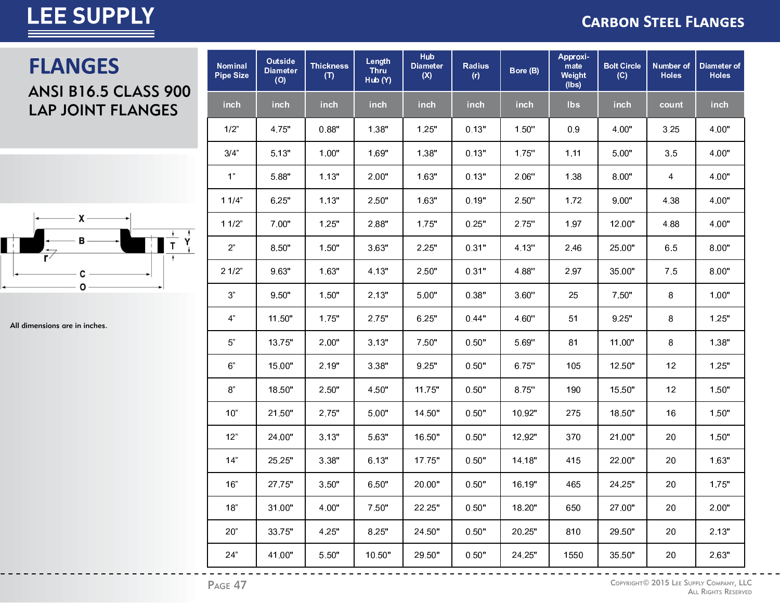#### **CARBON STEEL FLANGES**

### **FLANGES** ANSI B16.5 CLASS 900 LAP JOINT FLANGES



All dimensions are in inches.

| <b>Nominal</b><br><b>Pipe Size</b> | Outside<br><b>Diameter</b><br>(O) | <b>Thickness</b><br>(T) | Length<br><b>Thru</b><br>Hub (Y) | <b>Hub</b><br><b>Diameter</b><br>(X) | <b>Radius</b><br>(r) | Bore (B) | Approxi-<br>mate<br>Weight<br>(lbs) | <b>Bolt Circle</b><br>(C) | <b>Number of</b><br><b>Holes</b> | Diameter of<br><b>Holes</b> |
|------------------------------------|-----------------------------------|-------------------------|----------------------------------|--------------------------------------|----------------------|----------|-------------------------------------|---------------------------|----------------------------------|-----------------------------|
| inch                               | <b>inch</b>                       | inch                    | inch                             | inch                                 | inch                 | inch     | <b>lbs</b>                          | <b>inch</b>               | count                            | inch                        |
| 1/2"                               | 4.75"                             | 0.88"                   | 1.38"                            | 1.25"                                | 0.13"                | 1.50"    | 0.9                                 | 4.00"                     | 3.25                             | 4.00"                       |
| 3/4"                               | 5.13"                             | 1.00"                   | 1.69"                            | 1.38"                                | 0.13"                | 1.75"    | 1.11                                | 5.00"                     | 3.5                              | 4.00"                       |
| 1"                                 | 5.88"                             | 1.13"                   | 2.00"                            | 1.63"                                | 0.13"                | 2.06"    | 1.38                                | 8.00"                     | 4                                | 4.00"                       |
| 11/4"                              | 6.25"                             | 1.13"                   | 2.50"                            | 1.63"                                | 0.19"                | 2.50"    | 1.72                                | 9.00"                     | 4.38                             | 4.00"                       |
| 11/2"                              | 7.00"                             | 1.25"                   | 2.88"                            | 1.75"                                | 0.25"                | 2.75"    | 1.97                                | 12.00"                    | 4.88                             | 4.00"                       |
| 2 <sup>n</sup>                     | 8.50"                             | 1.50"                   | 3.63"                            | 2.25"                                | 0.31"                | 4.13"    | 2.46                                | 25.00"                    | 6.5                              | 8.00"                       |
| 21/2"                              | 9.63"                             | 1.63"                   | 4.13"                            | 2.50"                                | 0.31"                | 4.88"    | 2.97                                | 35.00"                    | 7.5                              | 8.00"                       |
| 3 <sup>n</sup>                     | 9.50"                             | 1.50"                   | 2.13"                            | 5.00"                                | 0.38"                | 3.60"    | 25                                  | 7.50"                     | 8                                | 1.00"                       |
| $4"$                               | 11.50"                            | 1.75"                   | 2.75"                            | 6.25"                                | 0.44"                | 4.60"    | 51                                  | 9.25"                     | 8                                | 1.25"                       |
| $5"$                               | 13.75"                            | 2.00"                   | 3.13"                            | 7.50"                                | 0.50"                | 5.69"    | 81                                  | 11.00"                    | 8                                | 1.38"                       |
| 6 <sup>n</sup>                     | 15.00"                            | 2.19"                   | 3.38"                            | 9.25"                                | 0.50"                | 6.75"    | 105                                 | 12.50"                    | 12                               | 1.25"                       |
| $\mbox{8}^{\circ}$                 | 18.50"                            | 2.50"                   | 4.50"                            | 11.75"                               | 0.50"                | 8.75"    | 190                                 | 15.50"                    | 12                               | 1.50"                       |
| 10"                                | 21.50"                            | 2.75"                   | 5.00"                            | 14.50"                               | 0.50"                | 10.92"   | 275                                 | 18.50"                    | 16                               | 1.50"                       |
| 12"                                | 24.00"                            | 3.13"                   | 5.63"                            | 16.50"                               | 0.50"                | 12.92"   | 370                                 | 21.00"                    | 20                               | 1.50"                       |
| 14"                                | 25.25"                            | 3.38"                   | 6.13"                            | 17.75"                               | 0.50"                | 14.18"   | 415                                 | 22.00"                    | 20                               | 1.63"                       |
| 16"                                | 27.75"                            | 3.50"                   | 6.50"                            | 20.00"                               | 0.50"                | 16.19"   | 465                                 | 24.25"                    | 20                               | 1.75"                       |
| 18"                                | 31.00"                            | 4.00"                   | 7.50"                            | 22.25"                               | 0.50"                | 18.20"   | 650                                 | 27.00"                    | 20                               | 2.00"                       |
| 20"                                | 33.75"                            | 4.25"                   | 8.25"                            | 24.50"                               | 0.50"                | 20.25"   | 810                                 | 29.50"                    | 20                               | 2.13"                       |
| 24"                                | 41.00"                            | 5.50"                   | 10.50"                           | 29.50"                               | 0.50"                | 24.25"   | 1550                                | 35.50"                    | 20                               | 2.63"                       |